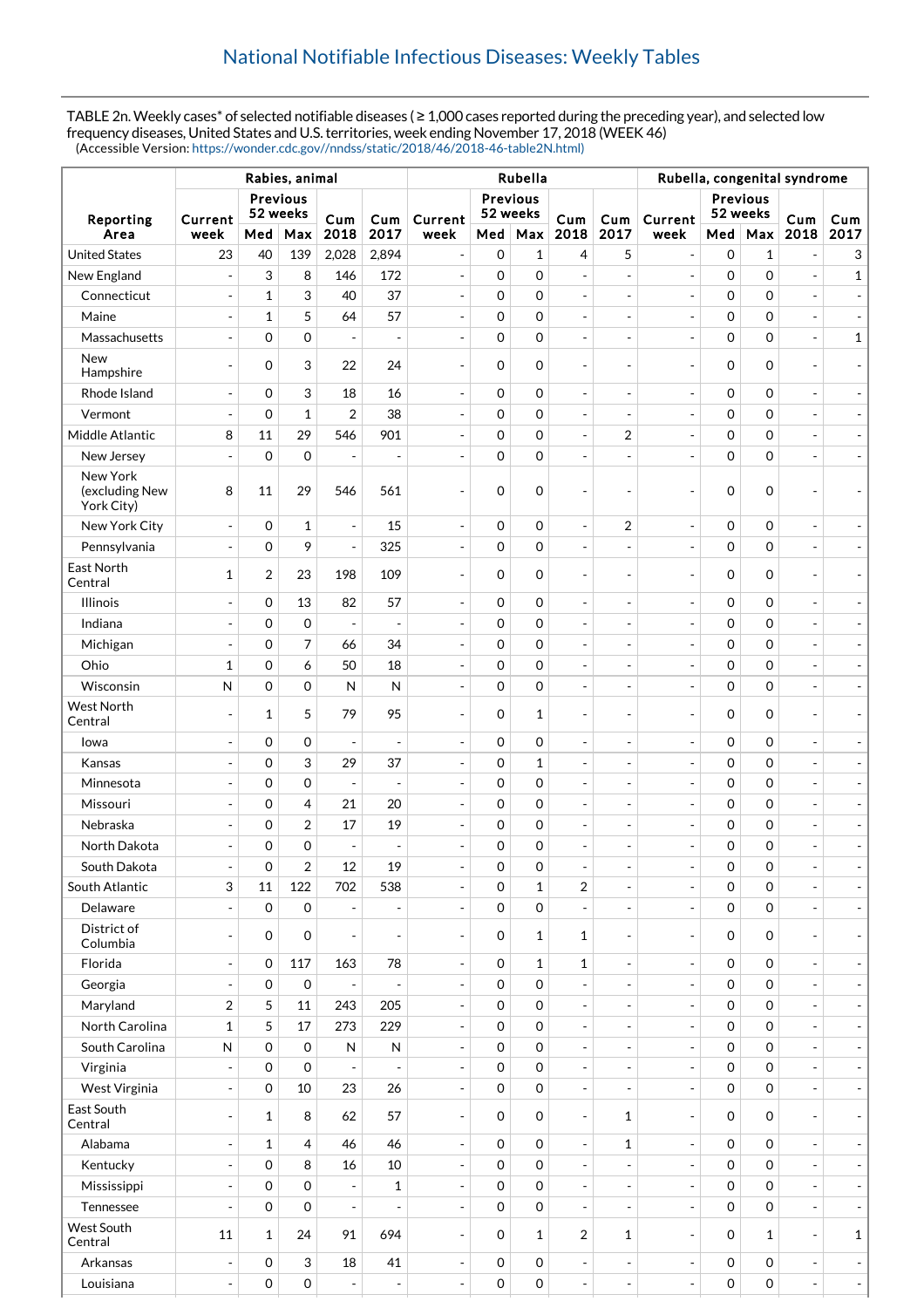TABLE 2n. Weekly cases\* of selected notifiable diseases ( ≥ 1,000 cases reported during the preceding year), and selected low frequency diseases, United States and U.S. territories, week ending November 17, 2018 (WEEK 46) (Accessible Version: [https://wonder.cdc.gov//nndss/static/2018/46/2018-46-table2N.html\)](https://wonder.cdc.gov//nndss/static/2018/46/2018-46-table2N.html)

|                                          |                          |                |                     |                          | Rubella, congenital syndrome |                          |                     |                            |                          |                          |                          |                |                      |                              |                          |
|------------------------------------------|--------------------------|----------------|---------------------|--------------------------|------------------------------|--------------------------|---------------------|----------------------------|--------------------------|--------------------------|--------------------------|----------------|----------------------|------------------------------|--------------------------|
|                                          | <b>Previous</b>          |                |                     |                          |                              |                          | <b>Previous</b>     |                            |                          |                          |                          | Previous       |                      |                              |                          |
| Reporting                                | Current                  | 52 weeks       |                     | Cum                      | Cum                          | Current                  | 52 weeks            |                            | Cum                      | Cum                      | Current                  |                | 52 weeks             |                              | Cum                      |
| Area                                     | week                     | Med            | Max                 | 2018                     | 2017                         | week                     | Med                 | Max                        | 2018                     | 2017                     | week                     |                | Med   Max            | 2018                         | 2017                     |
| <b>United States</b>                     | 23                       | 40             | 139                 | 2,028                    | 2,894                        | $\sim$                   | 0                   | 1                          | 4                        | 5                        | $\overline{\phantom{a}}$ | 0              | 1                    |                              | 3                        |
| New England                              | $\overline{a}$           | 3              | 8                   | 146                      | 172                          | ÷,                       | $\mathbf 0$         | $\mathbf 0$                | $\blacksquare$           | $\overline{\phantom{a}}$ | $\blacksquare$           | 0              | $\mathbf 0$          | $\overline{a}$               | $\mathbf{1}$             |
| Connecticut                              | $\overline{a}$           | $\mathbf{1}$   | 3                   | 40                       | 37                           | $\overline{a}$           | $\boldsymbol{0}$    | $\mathbf 0$                | $\overline{\phantom{a}}$ | $\overline{\phantom{a}}$ | $\blacksquare$           | 0              | $\mathbf 0$          |                              |                          |
| Maine                                    | $\overline{\phantom{a}}$ | $\mathbf{1}$   | 5                   | 64                       | 57                           | $\overline{a}$           | $\mathbf 0$         | $\mathbf 0$                | $\overline{\phantom{a}}$ | $\overline{\phantom{m}}$ | $\overline{\phantom{a}}$ | $\mathbf 0$    | $\mathbf 0$          | $\overline{\phantom{a}}$     |                          |
| Massachusetts                            | ÷,                       | $\mathbf 0$    | 0                   | $\overline{a}$           | $\overline{a}$               | $\overline{a}$           | $\boldsymbol{0}$    | $\mathbf 0$                | $\blacksquare$           | $\blacksquare$           | $\overline{\phantom{a}}$ | 0              | $\mathbf 0$          | $\overline{a}$               | $\mathbf{1}$             |
| <b>New</b><br>Hampshire                  | $\overline{\phantom{a}}$ | $\mathbf 0$    | 3                   | 22                       | 24                           | $\overline{\phantom{a}}$ | 0                   | 0                          | $\qquad \qquad -$        | $\overline{\phantom{a}}$ | $\overline{\phantom{a}}$ | $\mathbf 0$    | $\mathbf 0$          | ٠                            |                          |
| Rhode Island                             | $\overline{a}$           | $\mathbf 0$    | 3                   | 18                       | 16                           | $\overline{a}$           | $\boldsymbol{0}$    | $\mathbf 0$                | $\blacksquare$           | $\overline{\phantom{a}}$ | $\overline{\phantom{a}}$ | 0              | $\mathbf 0$          | $\overline{a}$               |                          |
| Vermont                                  |                          | $\mathbf 0$    | $\mathbf{1}$        | 2                        | 38                           |                          | $\mathbf 0$         | $\mathbf 0$                | $\overline{a}$           | $\overline{\phantom{a}}$ | $\blacksquare$           | 0              | $\mathbf 0$          |                              |                          |
| Middle Atlantic                          | 8                        | 11             | 29                  | 546                      | 901                          | $\overline{a}$           | $\mathbf 0$         | $\mathbf 0$                | $\overline{a}$           | $\overline{2}$           | $\overline{\phantom{a}}$ | 0              | $\mathbf 0$          | ÷,                           |                          |
| New Jersey                               |                          | $\mathbf 0$    | $\mathbf 0$         |                          |                              |                          | 0                   | $\mathbf 0$                | ÷,                       | $\overline{\phantom{a}}$ | $\overline{a}$           | $\overline{0}$ | $\mathbf 0$          |                              |                          |
| New York<br>(excluding New<br>York City) | 8                        | 11             | 29                  | 546                      | 561                          |                          | 0                   | $\mathbf 0$                | $\overline{a}$           | $\overline{\phantom{a}}$ | $\overline{a}$           | 0              | $\mathbf 0$          |                              |                          |
| New York City                            | $\overline{\phantom{a}}$ | $\mathbf 0$    | $\mathbf{1}$        | ÷,                       | 15                           | $\overline{\phantom{a}}$ | $\mathbf 0$         | $\mathbf 0$                | $\overline{\phantom{a}}$ | $\overline{2}$           | $\blacksquare$           | 0              | $\mathbf 0$          | $\overline{\phantom{a}}$     |                          |
| Pennsylvania                             | $\overline{a}$           | $\mathbf 0$    | 9                   | $\overline{a}$           | 325                          | $\overline{a}$           | $\mathbf 0$         | $\mathbf 0$                | $\overline{a}$           | $\blacksquare$           | $\overline{\phantom{a}}$ | 0              | $\mathbf 0$          | $\overline{\phantom{a}}$     |                          |
| East North<br>Central                    | $\mathbf{1}$             | $\overline{2}$ | 23                  | 198                      | 109                          |                          | 0                   | $\mathbf 0$                | $\overline{a}$           | $\overline{\phantom{a}}$ | $\overline{\phantom{a}}$ | 0              | $\mathbf 0$          |                              |                          |
| <b>Illinois</b>                          |                          | $\mathbf 0$    | 13                  | 82                       | 57                           | $\overline{a}$           | $\boldsymbol{0}$    | $\mathbf 0$                | $\overline{a}$           | $\overline{\phantom{a}}$ | $\overline{\phantom{a}}$ | 0              | $\mathbf 0$          | ÷,                           |                          |
| Indiana                                  | $\overline{a}$           | $\mathbf 0$    | 0                   | $\overline{a}$           | $\overline{a}$               | ÷,                       | $\mathbf 0$         | $\mathbf 0$                | ÷                        | $\overline{\phantom{m}}$ | $\overline{\phantom{a}}$ | 0              | $\mathbf 0$          | ÷,                           |                          |
| Michigan                                 | $\overline{\phantom{a}}$ | $\mathbf 0$    | 7                   | 66                       | 34                           | $\overline{a}$           | $\mathbf 0$         | $\mathbf 0$                | $\overline{a}$           | $\blacksquare$           | $\overline{\phantom{a}}$ | 0              | $\mathbf 0$          |                              |                          |
| Ohio                                     | $\mathbf{1}$             | $\mathbf 0$    | 6                   | 50                       | 18                           |                          | $\boldsymbol{0}$    | $\mathbf 0$                | $\frac{1}{2}$            | $\overline{\phantom{a}}$ | $\overline{a}$           | 0              | $\mathbf 0$          |                              |                          |
| Wisconsin                                | N                        | $\mathbf 0$    | 0                   | N                        | N                            | $\overline{a}$           | $\mathbf 0$         | $\mathbf 0$                | $\blacksquare$           | $\overline{\phantom{a}}$ | $\overline{\phantom{a}}$ | 0              | $\mathbf 0$          |                              |                          |
| <b>West North</b><br>Central             |                          | 1              | 5                   | 79                       | 95                           |                          | 0                   | 1                          | $\overline{\phantom{a}}$ | $\overline{\phantom{a}}$ | $\overline{\phantom{a}}$ | 0              | $\Omega$             | $\overline{\phantom{a}}$     |                          |
| Iowa                                     | ÷,                       | $\mathbf 0$    | 0                   | ÷,                       | $\overline{\phantom{a}}$     | $\overline{\phantom{a}}$ | $\boldsymbol{0}$    | $\mathbf 0$                | $\overline{\phantom{a}}$ | $\overline{\phantom{a}}$ | $\overline{\phantom{a}}$ | 0              | $\mathbf 0$          | ÷,                           |                          |
| Kansas                                   |                          | $\mathbf 0$    | 3                   | 29                       | 37                           |                          | $\boldsymbol{0}$    | 1                          | $\frac{1}{2}$            | $\overline{\phantom{a}}$ | ÷,                       | 0              | $\mathbf 0$          |                              |                          |
| Minnesota                                | ÷,                       | $\mathbf 0$    | 0                   | $\overline{\phantom{a}}$ | $\overline{\phantom{a}}$     | $\overline{\phantom{a}}$ | $\mathbf 0$         | $\mathbf 0$                | $\overline{\phantom{m}}$ | $\overline{\phantom{m}}$ | $\overline{\phantom{a}}$ | 0              | $\mathbf 0$          | ÷,                           |                          |
| Missouri                                 | $\overline{a}$           | $\mathbf 0$    | 4                   | 21                       | 20                           | $\overline{a}$           | 0                   | $\mathbf 0$                | $\frac{1}{2}$            | $\overline{\phantom{a}}$ | $\overline{a}$           | 0              | $\mathbf 0$          |                              |                          |
| Nebraska                                 | ÷,                       | $\mathbf 0$    | 2                   | 17                       | 19                           | $\overline{\phantom{a}}$ | $\mathbf 0$         | $\mathbf 0$                | $\frac{1}{2}$            | $\overline{\phantom{m}}$ | $\overline{\phantom{a}}$ | 0              | $\mathbf 0$          | ÷,                           |                          |
| North Dakota                             |                          | $\mathbf 0$    | $\mathbf 0$         |                          | $\overline{a}$               |                          | 0                   | $\mathbf 0$                | $\overline{a}$           | $\blacksquare$           | $\overline{a}$           | 0              | $\mathbf 0$          |                              |                          |
| South Dakota                             | $\overline{\phantom{a}}$ | 0              | 2                   | 12                       | 19                           | $\overline{\phantom{a}}$ | 0                   | 0                          | $\overline{\phantom{a}}$ | $\overline{\phantom{a}}$ | $\overline{\phantom{a}}$ | 0              | 0                    | $\qquad \qquad \blacksquare$ |                          |
| South Atlantic                           | 3                        | 11             | 122                 | 702                      | 538                          | $\sim$                   | $\mathbf 0$         | $\mathbf{1}$               | $\overline{2}$           | $\overline{\phantom{a}}$ | $\overline{\phantom{a}}$ | $\mathbf{O}$   | $\mathbf 0$          |                              | $\overline{\phantom{a}}$ |
| Delaware                                 |                          | $\overline{0}$ | $\mathbf 0$         |                          |                              |                          | $\mathbf 0$         | $\mathbf 0$                | $\overline{a}$           | $\frac{1}{2}$            | $\blacksquare$           | $\mathbf 0$    | $\Omega$             |                              |                          |
| District of<br>Columbia                  | $\overline{a}$           | $\mathbf 0$    | $\mathbf 0$         | $\overline{a}$           | $\overline{a}$               | $\sim$                   | $\mathbf 0$         | $\mathbf{1}$               | $\mathbf{1}$             | $\overline{\phantom{a}}$ | $\overline{\phantom{a}}$ | $\mathbf 0$    | $\Omega$             | $\overline{\phantom{a}}$     | $\overline{\phantom{a}}$ |
| Florida                                  | $\overline{a}$           | $\mathbf 0$    | 117                 | 163                      | 78                           | ÷,                       | $\mathbf 0$         | $\mathbf{1}$               | $\mathbf{1}$             | ÷                        | $\overline{\phantom{a}}$ | 0              | $\mathbf 0$          |                              |                          |
| Georgia                                  | $\overline{\phantom{a}}$ | $\mathbf 0$    | $\mathsf{O}\xspace$ |                          | $\overline{a}$               | $\sim$                   | 0                   | $\mathbf 0$                | $\overline{a}$           | $\overline{\phantom{a}}$ | $\overline{\phantom{a}}$ | $\mathbf 0$    | $\mathbf 0$          |                              | $\overline{\phantom{a}}$ |
| Maryland                                 | $\overline{2}$           | 5              | 11                  | 243                      | 205                          | $\overline{\phantom{a}}$ | 0                   | $\mathbf 0$                | $\overline{\phantom{a}}$ | ÷                        | $\blacksquare$           | 0              | $\mathbf 0$          |                              | $\overline{\phantom{a}}$ |
| North Carolina                           | $\mathbf{1}$             | 5              | 17                  | 273                      | 229                          | $\overline{\phantom{a}}$ | 0                   | $\mathbf 0$                | $\overline{\phantom{a}}$ | $\overline{\phantom{a}}$ | $\overline{\phantom{a}}$ | $\mathbf 0$    | $\Omega$             | $\blacksquare$               | $\overline{\phantom{a}}$ |
| South Carolina                           | ${\sf N}$                | $\mathbf 0$    | $\mathsf{O}\xspace$ | ${\sf N}$                | ${\sf N}$                    |                          | $\mathbf 0$         | $\mathbf 0$                | $\overline{a}$           | $\overline{\phantom{m}}$ | $\blacksquare$           | 0              | $\Omega$             |                              |                          |
| Virginia                                 |                          | $\mathbf 0$    | $\mathbf 0$         |                          |                              | $\overline{a}$           | $\mathbf 0$         | $\mathbf 0$                | $\blacksquare$           | $\overline{\phantom{a}}$ | $\overline{\phantom{a}}$ | 0              | $\Omega$             | ÷,                           | $\overline{\phantom{a}}$ |
| West Virginia                            | $\overline{a}$           | $\mathbf 0$    | 10                  | 23                       | 26                           | $\overline{a}$           | $\mathbf 0$         | $\mathbf 0$                | $\frac{1}{2}$            | $\overline{\phantom{a}}$ | $\overline{\phantom{a}}$ | $\mathbf{O}$   | $\Omega$             |                              | $\overline{\phantom{a}}$ |
| East South                               |                          |                |                     |                          |                              |                          |                     |                            |                          |                          |                          |                |                      |                              |                          |
| Central                                  | ÷,                       | $\mathbf{1}$   | 8                   | 62                       | 57<br>46                     | $\overline{a}$           | 0                   | $\mathbf 0$<br>$\mathbf 0$ | $\blacksquare$           | $\mathbf{1}$             | $\overline{\phantom{a}}$ | 0              | $\Omega$<br>$\Omega$ | $\qquad \qquad -$            | $\sim$                   |
| Alabama                                  | $\overline{a}$           | $\mathbf{1}$   | 4                   | 46                       |                              | $\overline{a}$           | $\mathbf 0$         |                            | $\blacksquare$           | $\mathbf{1}$             | $\blacksquare$           | $\mathbf{O}$   |                      |                              | $\overline{\phantom{a}}$ |
| Kentucky                                 | ÷,                       | $\overline{0}$ | 8                   | 16                       | 10                           | $\overline{\phantom{a}}$ | 0                   | $\mathbf 0$                | $\overline{\phantom{a}}$ | $\frac{1}{2}$            | $\blacksquare$           | 0              | $\mathbf 0$          | ÷,                           | $\overline{\phantom{a}}$ |
| Mississippi                              | Ξ                        | $\mathbf 0$    | $\mathbf 0$         | $\overline{a}$           | $\mathbf{1}$                 | $\sim$                   | $\mathbf 0$         | $\mathbf 0$                | $\blacksquare$           | $\overline{\phantom{a}}$ | $\overline{\phantom{a}}$ | 0              | $\Omega$             |                              | $\overline{\phantom{a}}$ |
| Tennessee                                | $\overline{\phantom{a}}$ | $\mathbf 0$    | $\mathbf 0$         | $\overline{a}$           |                              | $\overline{a}$           | 0                   | $\mathbf 0$                | $\blacksquare$           | $\frac{1}{2}$            | $\overline{\phantom{a}}$ | $\mathbf 0$    | $\Omega$             | $\blacksquare$               | $\overline{\phantom{a}}$ |
| West South<br>Central                    | 11                       | $\mathbf{1}$   | 24                  | 91                       | 694                          | $\sim$                   | $\mathbf 0$         | $\mathbf{1}$               | $\overline{2}$           | $\mathbf{1}$             | $\overline{\phantom{a}}$ | $\mathbf 0$    | 1                    | $\overline{\phantom{a}}$     | $\mathbf{1}$             |
| Arkansas                                 | $\overline{a}$           | $\mathbf 0$    | 3                   | 18                       | 41                           | $\overline{a}$           | $\mathbf 0$         | $\mathbf 0$                | $\frac{1}{2}$            | $\overline{\phantom{a}}$ | $\blacksquare$           | 0              | $\mathbf 0$          | $\blacksquare$               | $\overline{\phantom{a}}$ |
| Louisiana                                | $\overline{\phantom{a}}$ | $\mathbf 0$    | 0                   |                          | $\overline{\phantom{a}}$     | $\overline{a}$           | $\mathsf{O}\xspace$ | $\mathsf{O}\xspace$        | $\blacksquare$           | $\overline{\phantom{a}}$ | $\overline{a}$           | 0              | 0                    | $\qquad \qquad -$            | $\sim$                   |